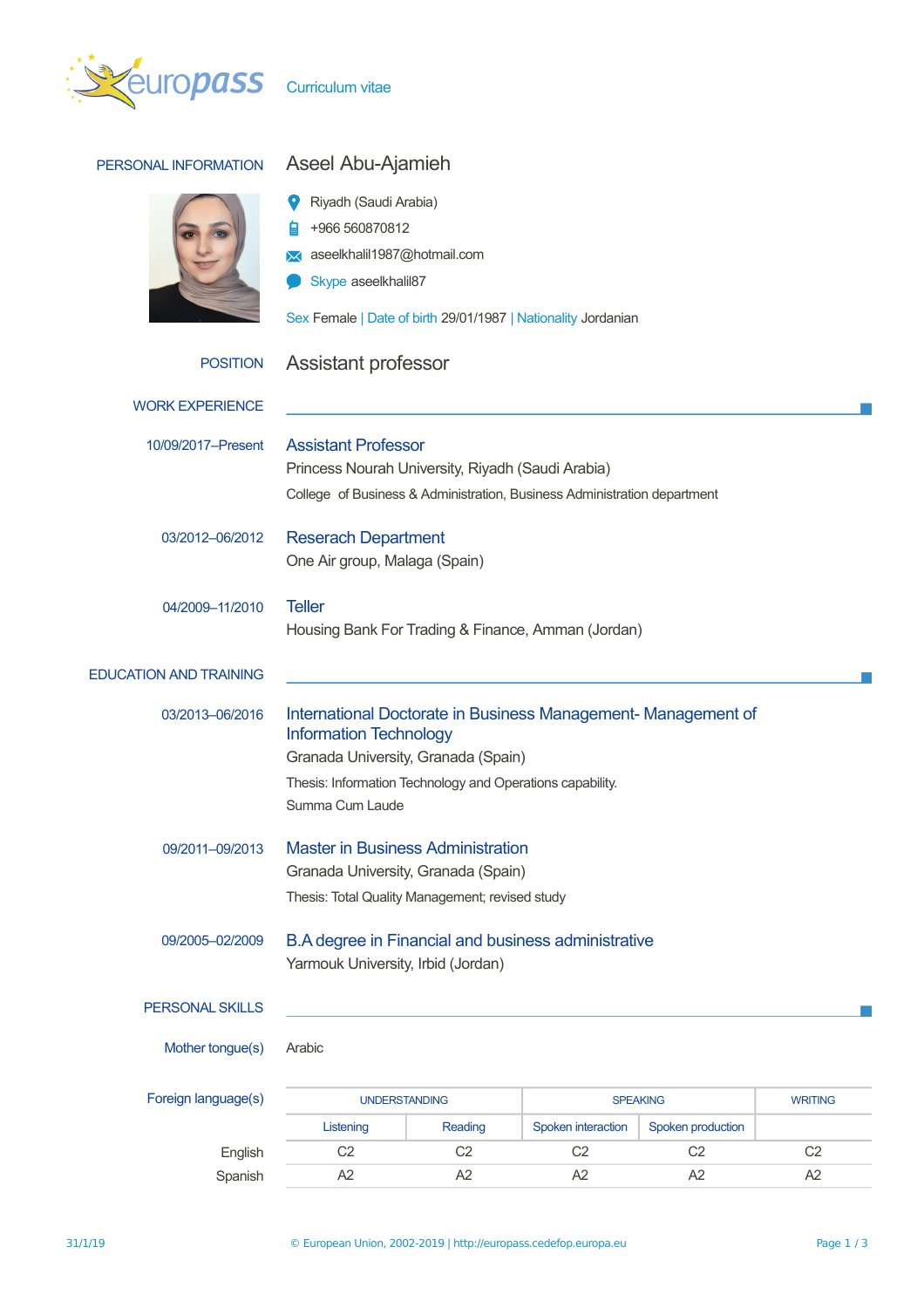

| PERSONAL INFORMATION          | Aseel Abu-Ajamieh<br>Riyadh (Saudi Arabia)<br>+966 560870812<br>aseelkhalil1987@hotmail.com<br>Skype aseelkhalil87<br>Sex Female   Date of birth 29/01/1987   Nationality Jordanian                                  |                |                    |                   |                |
|-------------------------------|----------------------------------------------------------------------------------------------------------------------------------------------------------------------------------------------------------------------|----------------|--------------------|-------------------|----------------|
| <b>POSITION</b>               | Assistant professor                                                                                                                                                                                                  |                |                    |                   |                |
| <b>WORK EXPERIENCE</b>        |                                                                                                                                                                                                                      |                |                    |                   |                |
| 10/09/2017-Present            | <b>Assistant Professor</b><br>Princess Nourah University, Riyadh (Saudi Arabia)<br>College of Business & Administration, Business Administration department                                                          |                |                    |                   |                |
| 03/2012-06/2012               | <b>Reserach Department</b><br>One Air group, Malaga (Spain)                                                                                                                                                          |                |                    |                   |                |
| 04/2009-11/2010               | <b>Teller</b><br>Housing Bank For Trading & Finance, Amman (Jordan)                                                                                                                                                  |                |                    |                   |                |
| <b>EDUCATION AND TRAINING</b> |                                                                                                                                                                                                                      |                |                    |                   |                |
| 03/2013-06/2016               | International Doctorate in Business Management-Management of<br><b>Information Technology</b><br>Granada University, Granada (Spain)<br>Thesis: Information Technology and Operations capability.<br>Summa Cum Laude |                |                    |                   |                |
| 09/2011-09/2013               | <b>Master in Business Administration</b><br>Granada University, Granada (Spain)<br>Thesis: Total Quality Management; revised study                                                                                   |                |                    |                   |                |
| 09/2005-02/2009               | B.A degree in Financial and business administrative<br>Yarmouk University, Irbid (Jordan)                                                                                                                            |                |                    |                   |                |
| PERSONAL SKILLS               |                                                                                                                                                                                                                      |                |                    |                   |                |
| Mother tongue(s)              | Arabic                                                                                                                                                                                                               |                |                    |                   |                |
| Foreign language(s)           | <b>UNDERSTANDING</b><br><b>SPEAKING</b>                                                                                                                                                                              |                |                    | <b>WRITING</b>    |                |
|                               | Listening                                                                                                                                                                                                            | Reading        | Spoken interaction | Spoken production |                |
| English                       | C <sub>2</sub>                                                                                                                                                                                                       | C <sub>2</sub> | C <sub>2</sub>     | C <sub>2</sub>    | C <sub>2</sub> |
| Spanish                       | A2                                                                                                                                                                                                                   | A2             | A <sub>2</sub>     | A <sub>2</sub>    | A <sub>2</sub> |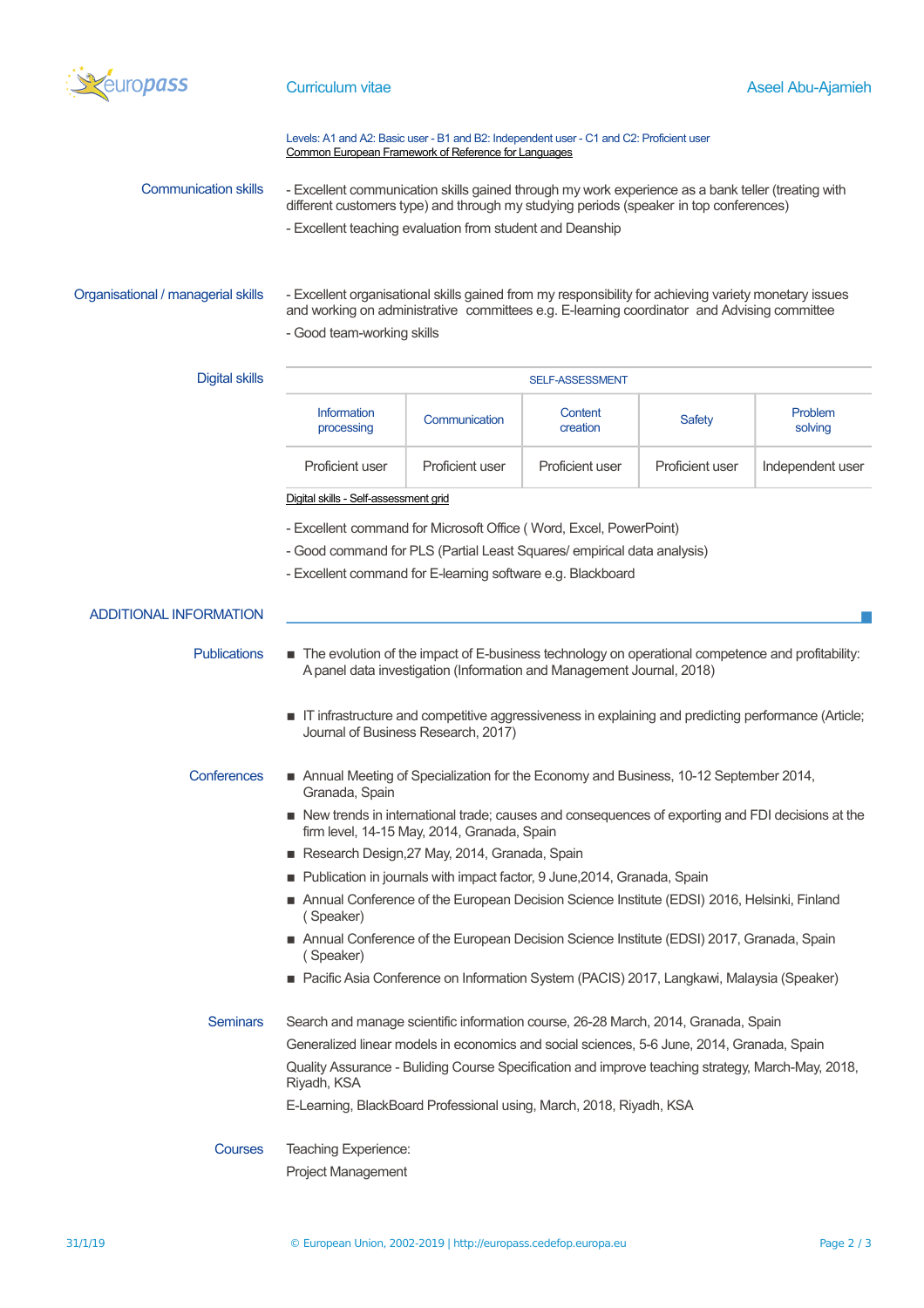

## Levels: A1 and A2: Basic user - B1 and B2: Independent user - C1 and C2: Proficient user [Common European Framework of Reference for Languages](http://europass.cedefop.europa.eu/en/resources/european-language-levels-cefr)

| Communication skills | - Excellent communication skills gained through my work experience as a bank teller (treating with |
|----------------------|----------------------------------------------------------------------------------------------------|
|                      | different customers type) and through my studying periods (speaker in top conferences)             |
|                      | - Excellent teaching evaluation from student and Deanship                                          |

Organisational / managerial skills - Excellent organisational skills gained from my responsibility for achieving variety monetary issues and working on administrative committees e.g. E-learning coordinator and Advising committee - Good team-working skills

# Digital skills **SELF-ASSESSMENT** Information Information Communication Content<br>processing Communication creation Content | Safety Problem<br>
creation | Safety | Solving solving Proficient user Proficient user Proficient user Proficient user Independent user

[Digital skills - Self-assessment grid](http://europass.cedefop.europa.eu/en/resources/digital-competences)

- Excellent command for Microsoft Office ( Word, Excel, PowerPoint)
- Good command for PLS (Partial Least Squares/ empirical data analysis)
- Excellent command for E-learning software e.g. Blackboard

## ADDITIONAL INFORMATION

- Publications **EXCO** The evolution of the impact of E-business technology on operational competence and profitability: A panel data investigation (Information and Management Journal, 2018)
	- **T** IT infrastructure and competitive aggressiveness in explaining and predicting performance (Article; Journal of Business Research, 2017)
- Conferences Annual Meeting of Specialization for the Economy and Business, 10-12 September 2014, Granada, Spain
	- New trends in international trade; causes and consequences of exporting and FDI decisions at the firm level, 14-15 May, 2014, Granada, Spain
	- Research Design, 27 May, 2014, Granada, Spain
	- Publication in journals with impact factor, 9 June, 2014, Granada, Spain
	- Annual Conference of the European Decision Science Institute (EDSI) 2016, Helsinki, Finland ( Speaker)
	- Annual Conference of the European Decision Science Institute (EDSI) 2017, Granada, Spain ( Speaker)
	- Pacific Asia Conference on Information System (PACIS) 2017, Langkawi, Malaysia (Speaker)

# Seminars Search and manage scientific information course, 26-28 March, 2014, Granada, Spain Generalized linear models in economics and social sciences, 5-6 June, 2014, Granada, Spain Quality Assurance - Buliding Course Specification and improve teaching strategy, March-May, 2018, Riyadh, KSA E-Learning, BlackBoard Professional using, March, 2018, Riyadh, KSA

Courses Teaching Experience: Project Management